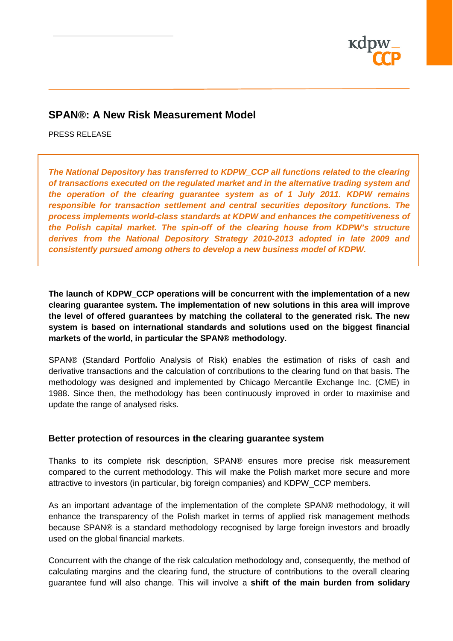

## **SPAN®: A New Risk Measurement Model**

PRESS RELEASE

*The National Depository has transferred to KDPW\_CCP all functions related to the clearing of transactions executed on the regulated market and in the alternative trading system and the operation of the clearing guarantee system as of 1 July 2011. KDPW remains responsible for transaction settlement and central securities depository functions. The process implements world-class standards at KDPW and enhances the competitiveness of the Polish capital market. The spin-off of the clearing house from KDPW's structure derives from the National Depository Strategy 2010-2013 adopted in late 2009 and consistently pursued among others to develop a new business model of KDPW.*

**The launch of KDPW\_CCP operations will be concurrent with the implementation of a new clearing guarantee system. The implementation of new solutions in this area will improve the level of offered guarantees by matching the collateral to the generated risk. The new system is based on international standards and solutions used on the biggest financial markets of the world, in particular the SPAN® methodology.**

SPAN® (Standard Portfolio Analysis of Risk) enables the estimation of risks of cash and derivative transactions and the calculation of contributions to the clearing fund on that basis. The methodology was designed and implemented by Chicago Mercantile Exchange Inc. (CME) in 1988. Since then, the methodology has been continuously improved in order to maximise and update the range of analysed risks.

#### **Better protection of resources in the clearing guarantee system**

Thanks to its complete risk description, SPAN® ensures more precise risk measurement compared to the current methodology. This will make the Polish market more secure and more attractive to investors (in particular, big foreign companies) and KDPW\_CCP members.

As an important advantage of the implementation of the complete SPAN® methodology, it will enhance the transparency of the Polish market in terms of applied risk management methods because SPAN® is a standard methodology recognised by large foreign investors and broadly used on the global financial markets.

Concurrent with the change of the risk calculation methodology and, consequently, the method of calculating margins and the clearing fund, the structure of contributions to the overall clearing guarantee fund will also change. This will involve a **shift of the main burden from solidary**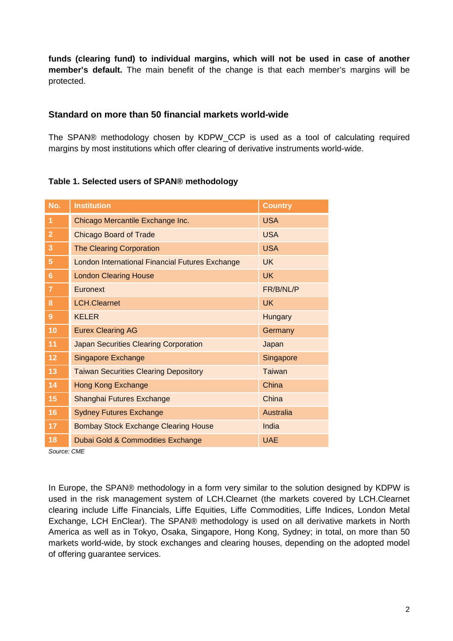**funds (clearing fund) to individual margins, which will not be used in case of another member's default.** The main benefit of the change is that each member's margins will be protected.

### **Standard on more than 50 financial markets world-wide**

The SPAN® methodology chosen by KDPW\_CCP is used as a tool of calculating required margins by most institutions which offer clearing of derivative instruments world-wide.

### **Table 1. Selected users of SPAN® methodology**

| No.            | <b>Institution</b>                              | <b>Country</b> |
|----------------|-------------------------------------------------|----------------|
| 1              | Chicago Mercantile Exchange Inc.                | <b>USA</b>     |
| $\overline{2}$ | <b>Chicago Board of Trade</b>                   | <b>USA</b>     |
| 3              | <b>The Clearing Corporation</b>                 | <b>USA</b>     |
| 5              | London International Financial Futures Exchange | <b>UK</b>      |
| 6              | <b>London Clearing House</b>                    | <b>UK</b>      |
| 7              | Euronext                                        | FR/B/NL/P      |
| 8              | <b>LCH.Clearnet</b>                             | <b>UK</b>      |
| 9              | <b>KELER</b>                                    | <b>Hungary</b> |
| 10             | <b>Eurex Clearing AG</b>                        | Germany        |
| 11             | <b>Japan Securities Clearing Corporation</b>    | Japan          |
| 12             | <b>Singapore Exchange</b>                       | Singapore      |
| 13             | <b>Taiwan Securities Clearing Depository</b>    | Taiwan         |
| 14             | <b>Hong Kong Exchange</b>                       | China          |
| 15             | Shanghai Futures Exchange                       | China          |
| 16             | <b>Sydney Futures Exchange</b>                  | Australia      |
| 17             | <b>Bombay Stock Exchange Clearing House</b>     | India          |
| 18             | Dubai Gold & Commodities Exchange               | <b>UAE</b>     |

*Source: CME*

In Europe, the SPAN® methodology in a form very similar to the solution designed by KDPW is used in the risk management system of LCH.Clearnet (the markets covered by LCH.Clearnet clearing include Liffe Financials, Liffe Equities, Liffe Commodities, Liffe Indices, London Metal Exchange, LCH EnClear). The SPAN® methodology is used on all derivative markets in North America as well as in Tokyo, Osaka, Singapore, Hong Kong, Sydney; in total, on more than 50 markets world-wide, by stock exchanges and clearing houses, depending on the adopted model of offering guarantee services.